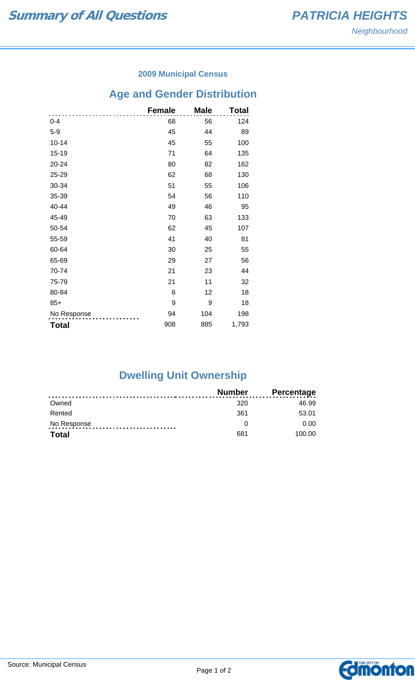### **2009 Municipal Census**

# **Age and Gender Distribution**

|              | <b>Female</b> | <b>Male</b> | Total |
|--------------|---------------|-------------|-------|
| $0 - 4$      | 68            | 56          | 124   |
| $5-9$        | 45            | 44          | 89    |
| $10 - 14$    | 45            | 55          | 100   |
| 15-19        | 71            | 64          | 135   |
| 20-24        | 80            | 82          | 162   |
| 25-29        | 62            | 68          | 130   |
| 30-34        | 51            | 55          | 106   |
| 35-39        | 54            | 56          | 110   |
| 40-44        | 49            | 46          | 95    |
| 45-49        | 70            | 63          | 133   |
| 50-54        | 62            | 45          | 107   |
| 55-59        | 41            | 40          | 81    |
| 60-64        | 30            | 25          | 55    |
| 65-69        | 29            | 27          | 56    |
| 70-74        | 21            | 23          | 44    |
| 75-79        | 21            | 11          | 32    |
| 80-84        | 6             | 12          | 18    |
| $85+$        | 9             | 9           | 18    |
| No Response  | 94            | 104         | 198   |
| <b>Total</b> | 908           | 885         | 1,793 |

# **Dwelling Unit Ownership**

|              | <b>Number</b> | <b>Percentage</b> |
|--------------|---------------|-------------------|
| Owned        | 320           | 46.99             |
| Rented       | 361           | 53.01             |
| No Response  |               | 0.00              |
| <b>Total</b> | 681           | 100.00            |